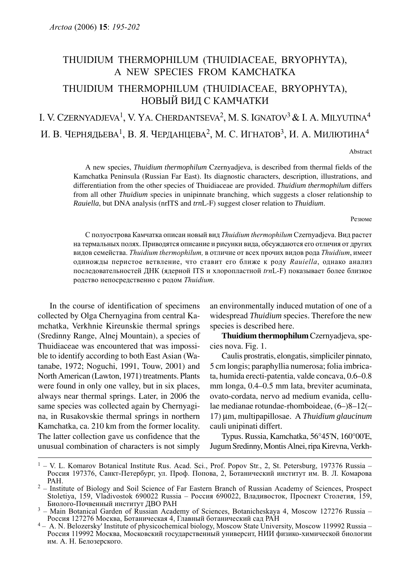# THUIDIUM THERMOPHILUM (THUIDIACEAE, BRYOPHYTA), A NEW SPECIES FROM KAMCHATKA THUIDIUM THERMOPHILUM (THUIDIACEAE, BRYOPHYTA), НОВЫЙ ВИД С КАМЧАТКИ I. V. CZERNYADJEVA<sup>1</sup>, V. YA. CHERDANTSEVA<sup>2</sup>, M. S. IGNATOV<sup>3</sup> & I. A. MILYUTINA<sup>4</sup>

И. В. ЧЕРНЯДЬЕВА<sup>1</sup>, В. Я. ЧЕРДАНЦЕВА<sup>2</sup>, М. С. ИГНАТОВ<sup>3</sup>, И. А. МИЛЮТИНА<sup>4</sup>

Abstract

A new species, *Thuidium thermophilum* Czernyadjeva, is described from thermal fields of the Kamchatka Peninsula (Russian Far East). Its diagnostic characters, description, illustrations, and differentiation from the other species of Thuidiaceae are provided. *Thuidium thermophilum* differs from all other *Thuidium* species in unipinnate branching, which suggests a closer relationship to *Rauiella*, but DNA analysis (nrITS and *trn*L-F) suggest closer relation to *Thuidium*.

Резюме

C полуострова Камчатка описан новый вид Thuidium thermophilum Czernyadjeva. Вид растет на термальных полях. Приводятся описание и рисунки вида, обсуждаются его отличия от других видов семейства. Thuidium thermophilum, в отличие от всех прочих видов рода Thuidium, имеет одиножды перистое ветвление, что ставит его ближе к роду Rauiella, однако анализ последовательностей ДНК (ядерной ITS и хлоропластной trnL-F) показывает более близкое родство непосредственно с родом Thuidium.

In the course of identification of specimens collected by Olga Chernyagina from central Kamchatka, Verkhnie Kireunskie thermal springs (Sredinny Range, Alnej Mountain), a species of Thuidiaceae was encountered that was impossible to identify according to both East Asian (Watanabe, 1972; Noguchi, 1991, Touw, 2001) and North American (Lawton, 1971) treatments. Plants were found in only one valley, but in six places, always near thermal springs. Later, in 2006 the same species was collected again by Chernyagina, in Rusakovskie thermal springs in northern Kamchatka, ca. 210 km from the former locality. The latter collection gave us confidence that the unusual combination of characters is not simply an environmentally induced mutation of one of a widespread *Thuidium* species. Therefore the new species is described here.

**Thuidium thermophilum** Czernyadjeva, species nova. Fig. 1.

Caulis prostratis, elongatis, simpliciler pinnato, 5 cm longis; paraphyllia numerosa; folia imbricata, humida erecti-patentia, valde concava, 0.6–0.8 mm longa, 0.4–0.5 mm lata, breviter acuminata, ovato-cordata, nervo ad medium evanida, cellulae medianae rotundae-rhomboideae, (6–)8–12(– 17) μm, multipapillosae. A *Thuidium glaucinum* cauli unipinati differt.

Typus. Russia, Kamchatka, 56°45'N, 160°00'E, Jugum Sredinny, Montis Alnei, ripa Kirevna, Verkh-

 $1 - V$ . L. Komarov Botanical Institute Rus. Acad. Sci., Prof. Popov Str., 2, St. Petersburg, 197376 Russia – Россия 197376, Санкт-Петербург, ул. Проф. Попова, 2, Ботанический институт им. В. Л. Комарова

РАН. <sup>2</sup> – Institute of Biology and Soil Science of Far Eastern Branch of Russian Academy of Sciences, Prospect Stoletiya, 159, Vladivostok 690022 Russia – Россия 690022, Владивосток, Проспект Столетия, 159,

<sup>&</sup>lt;sup>3</sup> – Main Botanical Garden of Russian Academy of Sciences, Botanicheskaya 4, Moscow 127276 Russia – Россия 127276 Москва, Ботаническая 4, Главный ботанический сад РАН

<sup>&</sup>lt;sup>4</sup> – A. N. Belozersky' Institute of physicochemical biology, Moscow State University, Moscow 119992 Russia – Россия 119992 Москва, Московский государственный университ, НИИ физико-химической биологии им. А. Н. Белозерского.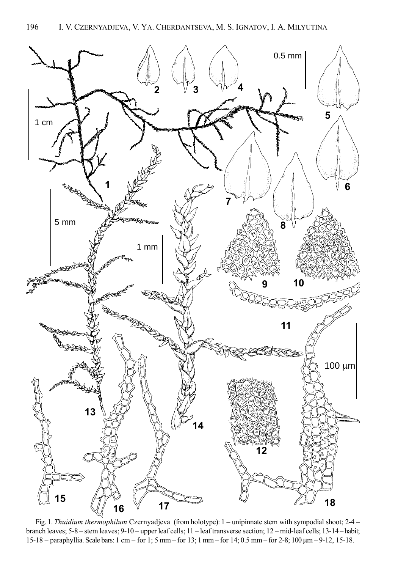

Fig. 1. Thuidium thermophilum Czernyadjeva (from holotype): 1 – unipinnate stem with sympodial shoot; 2-4 – branch leaves; 5-8 – stem leaves; 9-10 – upper leaf cells; 11 – leaf transverse section; 12 – mid-leaf cells; 13-14 – habit; 15-18 – paraphyllia. Scale bars: 1 cm – for 1; 5 mm – for 13; 1 mm – for 14; 0.5 mm – for 2-8; 100 μm – 9-12, 15-18.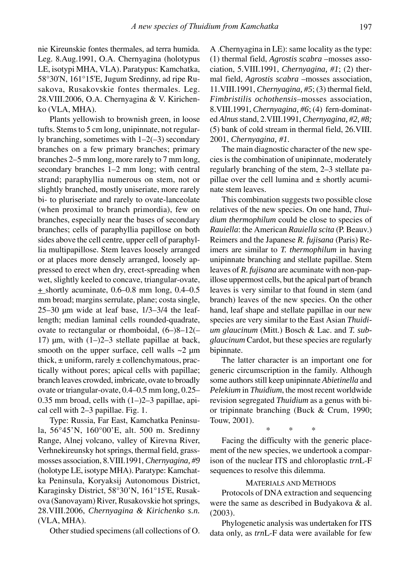nie Kireunskie fontes thermales, ad terra humida. Leg. 8.Aug.1991, O.A. Chernyagina (holotypus LE, isotypi MHA, VLA). Paratypus: Kamchatka, 58°30'N, 161°15'E, Jugum Sredinny, ad ripe Rusakova, Rusakovskie fontes thermales. Leg. 28.VIII.2006, O.A. Chernyagina & V. Kirichenko (VLA, MHA).

Plants yellowish to brownish green, in loose tufts. Stems to 5 cm long, unipinnate, not regularly branching, sometimes with 1–2(–3) secondary branches on a few primary branches; primary branches 2–5 mm long, more rarely to 7 mm long, secondary branches 1–2 mm long; with central strand; paraphyllia numerous on stem, not or slightly branched, mostly uniseriate, more rarely bi- to pluriseriate and rarely to ovate-lanceolate (when proximal to branch primordia), few on branches, especially near the bases of secondary branches; cells of paraphyllia papillose on both sides above the cell centre, upper cell of paraphyllia multipapillose. Stem leaves loosely arranged or at places more densely arranged, loosely appressed to erect when dry, erect-spreading when wet, slightly keeled to concave, triangular-ovate,  $\pm$  shortly acuminate, 0.6–0.8 mm long, 0.4–0.5 mm broad; margins serrulate, plane; costa single, 25–30 μm wide at leaf base, 1/3–3/4 the leaflength; median laminal cells rounded-quadrate, ovate to rectangular or rhomboidal, (6–)8–12(– 17) μm, with  $(1-)2-3$  stellate papillae at back, smooth on the upper surface, cell walls  $\sim$ 2  $\mu$ m thick,  $\pm$  uniform, rarely  $\pm$  collenchymatous, practically without pores; apical cells with papillae; branch leaves crowded, imbricate, ovate to broadly ovate or triangular-ovate, 0.4–0.5 mm long, 0.25– 0.35 mm broad, cells with  $(1–)2–3$  papillae, apical cell with 2–3 papillae. Fig. 1.

Type: Russia, Far East, Kamchatka Peninsula, 56°45'N, 160°00'E, alt. 500 m. Sredinny Range, Alnej volcano, valley of Kirevna River, Verhnekireunsky hot springs, thermal field, grassmosses association, 8.VIII.1991, *Chernyagina, #9* (holotype LE, isotype MHA). Paratype: Kamchatka Peninsula, Koryaksij Autonomous District, Karaginsky District, 58°30'N, 161°15'E, Rusakova (Sanovayam) River, Rusakovskie hot springs, 28.VIII.2006, *Chernyagina & Kirichenko s.n.* (VLA, MHA).

Other studied specimens (all collections of O.

A .Chernyagina in LE): same locality as the type: (1) thermal field, *Agrostis scabra* –mosses association, 5.VIII.1991, *Chernyagina, #1*; (2) thermal field, *Agrostis scabra* –mosses association, 11.VIII.1991, *Chernyagina, #5*; (3) thermal field, *Fimbristilis ochothensis*–mosses association, 8.VIII.1991, *Chernyagina, #6*; (4) fern-dominated *Alnus* stand, 2.VIII.1991, *Chernyagina, #2, #8;* (5) bank of cold stream in thermal field, 26.VIII. 2001, *Chernyagina, #1*.

The main diagnostic character of the new species is the combination of unipinnate, moderately regularly branching of the stem, 2–3 stellate papillae over the cell lumina and  $\pm$  shortly acuminate stem leaves.

This combination suggests two possible close relatives of the new species. On one hand, *Thuidium thermophilum* could be close to species of *Rauiella*: the American *Rauiella scita* (P. Beauv.) Reimers and the Japanese *R. fujisana* (Paris) Reimers are similar to *T. thermophilum* in having unipinnate branching and stellate papillae. Stem leaves of *R. fujisana* are acuminate with non-papillose uppermost cells, but the apical part of branch leaves is very similar to that found in stem (and branch) leaves of the new species. On the other hand, leaf shape and stellate papillae in our new species are very similar to the East Asian *Thuidium glaucinum* (Mitt.) Bosch & Lac. and *T. subglaucinum* Cardot, but these species are regularly bipinnate.

The latter character is an important one for generic circumscription in the family. Although some authors still keep unipinnate *Abietinella* and *Pelekium* in *Thuidium*, the most recent worldwide revision segregated *Thuidium* as a genus with bior tripinnate branching (Buck & Crum, 1990; Touw, 2001).

\* \* \*

Facing the difficulty with the generic placement of the new species, we undertook a comparison of the nuclear ITS and chloroplastic *trn*L-F sequences to resolve this dilemma.

### MATERIALS AND METHODS

Protocols of DNA extraction and sequencing were the same as described in Budyakova & al. (2003).

Phylogenetic analysis was undertaken for ITS data only, as *trn*L-F data were available for few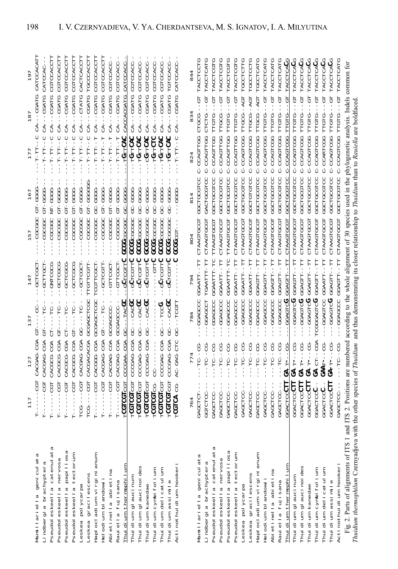|                                                                        | 117                            | 127               | 137                                                        | 147               | 157               | 167               | 177                           | 187                         | 197             |
|------------------------------------------------------------------------|--------------------------------|-------------------|------------------------------------------------------------|-------------------|-------------------|-------------------|-------------------------------|-----------------------------|-----------------|
| Mamillariella geniculata                                               | н                              | CACGAG-CGA        | 5                                                          | <b>LODIDE-</b>    | CGCGC             | 5999-<br>5        | T-T                           | --CGAT                      | CATCCACATI      |
| Lindbergia brachyptera                                                 | $-100 -$<br>$\frac{1}{1}$      | CACGAG-CGA        | 5                                                          | GCLLGCL           | CGCGGC            | <b>COOP-LP</b>    | -T-T-                         | $-CGAT$<br>d<br>CA          | CATCCAC         |
| Pseudoleskeella catenulata                                             | $-  CGT$<br>$\frac{1}{1}$<br>Ĥ | CACGCG-CGA        | $-12T -$<br>ŧ                                              | -GNTCGCG          | CGCGGC            | <b>COCO-LN</b>    | $-1.1 - 1.1 - - 0$            | -CGATG<br>$CA -$            | CGTCCACCTT      |
| Pseudoleskeella nervosa                                                | 50<br>$\frac{1}{1}$<br>н       | CACGCG-CGA        | $-21$                                                      | GCTCGCG           | CGCGGC            | <b>COCO-15</b>    | $-1.77 - 1.1 - - -$           | CGAT<br>$CA-$               | CGTCCACCT       |
| seudoleskeella papillosa                                               | $--CGT$<br>t<br>J<br>ł<br>Н    | CACGCG-CGA        | $-12T -$<br>뒹                                              | -GCLCGGG          | CGCGGC            | <b>GL-GGGG</b>    | $-111 - 11 - 1$               | -CGATG<br>$\overline{cA}$   | CGTCCACCTT      |
| tectorum<br>seudoleskeella                                             | HPD------<br>Н                 | CACGCG-CGA        | $G-T--T-C-$                                                | <b>COOCCOOL</b>   | CGCGGC            | GL-GGGG           | $-1 - 1 - 1 - 1 - 1 - 1$      | -CGATG<br>$CA-$             | CGTCCACCTT      |
| Leskea polycarpa                                                       | TCG----CGT                     | CACGAG-CGA        | -<br>UU - - - - UU                                         | -GCTCGCT          | -cececec          | <b>CT-GGGG-</b>   | י<br>ו<br>$-1 - 1 - 1 - 1$    | CTATG<br>d<br>CA-           | CACTCACCTI      |
| Leskea gracilescens                                                    | TCG----CGT                     | CACGACACGA        | <b>GCGAGCTCGC</b>                                          | TTGTTCGTT         | <b>DOOCOCC</b>    | <b>GL-GGGGGG</b>  | $-1.545 - 1.5 -$              | CGATG<br>$\overline{c}$ A-  | TGCCCACCTI      |
| Haplocladium virginianum                                               | <b>500-1</b>                   | CACGGG-CGA        | GCGAGCTCGC                                                 | CGLLCGCL          | CGCGGC            | -668-             | ----------                    | CGATG<br>$\overline{cA}$    | CGTCCACCT       |
| Helodium blandowii                                                     | $-501 -$                       | CACGAG-CGA        | $GT---TC$                                                  | -GCTCGTT          | -ceceec           | <b>COCO-LO</b>    | ------------                  | -CGATG<br>$CA - -$          | CGTCCACCT       |
| Abietinella abietina                                                   | $- - - - - - -$<br>J           | CACGAG-CGA        | -<br>CCCAGCC                                               | GTTCGCT           | -CGCGGC           | GL-GGGG           | エーエエーエー                       | -CGATG<br>d<br>CA-          | CGTCCACC        |
| Rauiella fujisana                                                      | $-100-$<br>$\frac{1}{2}$       | CACGAG-CGA        | GCGAGCC-                                                   | GTTCGCT           | -<br>00000-       | GT-GGGG           | $-1.71 - 1.7 - -$             | -CGAT<br>$CA -$             | CGTCCACC        |
| Thuidium thermophilum                                                  | <b>LCGLCCLCCL</b>              | CCCGAA-CGA        | CC---TACGC                                                 | GCTCGTTC          | <b>GCGGCGCGCC</b> | <b>COOP-UD</b>    | -TGTTCAC                      | CACCACGATG                  | CATCCACC        |
| Thuidium glaucinum                                                     | TCGLCGLCGL                     | CCCGAG-CGA        | GC---CACGC                                                 | -GCTCGTTC         | <b>GCGGCGCGCC</b> | <b>CC-CCCCC</b>   | $-TGTTCAC$                    | CA---CGATG                  | CGTCCACC        |
| Thuidium glaucinoides                                                  | TCGLCGLCGL                     | CCCGAG-CGA        | <b>CO--------</b>                                          | GCTCGTTC          | <b>CCCCCCCCCC</b> | ひひひーしひ            | -TGTTCAC                      | -CGATG<br>d<br>CA-          | CGTCCACC        |
| Thuidium kanedae                                                       | TCGTCGTCGT                     | CCCGAG-CGA        | <b>UU</b> UAU---UU                                         | -GCTCGTTC         | <b>COCOCOD</b>    | <b>999-09</b>     | -CGTTCAC                      | -CGATG<br>$CA -$            | CGTCCACC        |
| Thuidium cymbifolium                                                   | <b>LCGLCGLCG</b>               |                   |                                                            | <b>UHH5---</b>    | <b>UUUUUUUUU</b>  | <b>CC-CCCCC</b>   | <b>TGTTCTC</b>                | CGATG<br>$CA -$             | CGTCCACC        |
| Thuidium delicatulum                                                   | <b>LCGLCGLCGL</b>              | CCCGAG-CGA        | $-500T - -100$                                             | GCTCGTTC          | <b>GCGGCGCGC</b>  | ひひひひーひひ           | -TOTTOL-                      | -CGATG<br>$CA-$             | CGTCCACC        |
| Thuidium assimile                                                      | TCGLCGLCGL                     | CCCGAG-CGA        | <b>UU</b> UAU---UU                                         | GCTCGTTC          | <b>GCGG</b> CGCGC | <b>UUU-UU</b>     | -TGTTCAC                      | -CGATG<br>$\overline{c}A$   | TGTCCACC        |
| Actinothuidium hookeri                                                 | CGLCA-CG                       | AC-GAG-CTC        | GC----DD                                                   |                   | <b>POCCOOD</b>    | ひひひひ              | -- TT- TT-                    | CA---CGATG                  | CATCCACC        |
|                                                                        |                                |                   |                                                            |                   |                   |                   |                               |                             |                 |
|                                                                        | 764                            |                   | 784                                                        | 794               | 804               | 814               |                               | 834                         | 844             |
| Mamillariella geniculata                                               | GAGCTCT                        | -TC--CG           | -GGAGCC                                                    | GGAATT            | CTAAGTGCGT        | <b>COLODED</b>    | C-CCAGTTGG                    | 5<br><b>CLGCG-</b>          | TACCTCCTG       |
| Lindbergia brachyptera                                                 | GGTCTCC                        | - TC-- DH-        | GGAGCCT                                                    | TGAATTT-TT        | CTAAGTGCGT        | GACTGCGTCC        | C-CCAGITGG                    | CTCTG-                      | TACCTCATG       |
| Pseudoleskeella catenulata                                             | GAGCTCC                        | $-TC$ --CG        | GGAGCCC                                                    | <b>GAATTT-TC</b>  | TAAGTGCGT         | COLOCALCO         | C-CCAGTTGG                    | 5<br><b>LLOTC</b>           | TACCTCGTG       |
| Pseudoleskeella nervosa                                                | <b>GAGCTCC</b>                 | $-TC - -CC$       | CCAGCCC                                                    | GGAATT-TTT        | CTAAGTGCGT        | <b>SGCTGCGTCC</b> | C-CCAGTTGG                    | 59-<br><b>FTGCG-</b>        | TACCTCGTG       |
| seudoleskeella papillosa                                               | <b>CAGCTCC-</b>                | $-TC$ --CG        | GGAGCCC                                                    | COAATTT-TC        | <b>LLAAGLGCGL</b> | COLODEDRI         | C-CCAGTTGG                    | 텅<br><b>POTG-</b>           | TACCTCGTG       |
| tectorum<br>seudoleskeella                                             | GAGCTCC-                       | $-101 - 101 - 10$ | GGAGCCC                                                    | <b>GGAATT-</b>    | CTAAGTGCGT        | <b>GGCTGCGTCC</b> | C-CCAGTTGG                    | $-50 -$<br><b>FTGTG-</b>    | TACCTCGTG       |
| Leskea polycarpa                                                       | GAGCTCC                        | -- 10-- 10-       | -GGAGCCC                                                   | GGAATT-           | CTAAGTGCGT        | CGCLCCLCC         | C-CCAGTCGG                    | TTGCG--AGT                  | TGCCTCTTG       |
| Leskea gracilescens                                                    | GAGCTCC                        | $-TC - -CC$       | -GGAGCCC                                                   | <b>GGAATT-</b>    | <b>TRAGTGCGT</b>  | COLORAD           | -CCAGTCGG                     | TDA--POLI                   | reccrecre       |
| Haplocladium virginianum                                               | GAGCTCC-                       | じリーリロー            | -GGAGCCC                                                   | - 11575           | CTAAGTGCGT        | CGCLOCALC         | C-CCAGTCGG                    | LDG--PCL                    | TGCCTCAT        |
| Helodium blandowii                                                     | GAGCTCC                        | $-10 - 0$         | -GGAGCCC                                                   | GGAGTT--          | CTAAGTGCGT        | COLOCACIO         | C-CCAGTCGG                    | $-5 - 7$<br>TTGTG-          | TACCTCATG       |
| Abietinella abietina                                                   | GAGCTCC                        | $-TC$ --CG        | <b>GGAGCCC</b>                                             | <b>GGAGTT</b>     | CTAAGTGCGT        | CGCLCCLCC         | C-CCAGICGG                    | 5<br><b>LLCLC-</b>          | TACCTCATG       |
| Rauiella fujisana                                                      | GAGCTCC                        | $-TC$ --CG        | -GGAGCCC                                                   | Ę<br>GGAGTT-      | CTAAGTGCGT        | GGCTGCGTCC        | C-CCAGTCGG                    | $-6T$<br>TTGTG-             | TACCTCATG       |
| Thuidium thermophilum                                                  | GGACTCCCT                      | -CG<br>GA-T       | -GGAGTCG                                                   | GGAGTT            | CTAAGTGCGT        | GGCTGCGTCC        | -CCAGTCGG                     | 5<br><b>LLCLC</b>           | <b>TACCTCAC</b> |
| Thuidium glaucinum                                                     | GGACTCCCTT                     | $GA-T--CG$        | UCAGTCU                                                    | GGAGTT-           | TRAGTGCGT         | GGCTGCGTCC        | C-CCAGTCGG                    | 5<br>TTGTG-                 | TACCTCACC       |
| Thuidium glaucinoides                                                  | GGACTCCCTT                     | $GA-T--CG$        | -GGAGTCG                                                   | GGAGTT-           | CTAAGTGCGT        | GGCTGCGTCC        | C-CCAGTCGG                    | 5<br>TTGTG-                 | TACCTCACC       |
| Thuidium kanedae                                                       | GGACTCCCTT                     | $GA - T - -CG$    | UULDAGHCU                                                  | GGAGTT-           | CTAAGTGCGT        | GGCTGCGTCC        | <b>C-CCAGICGG</b>             | 5<br><b>LLGLC</b>           | TACCTCACC       |
| Thuidium cymbifolium                                                   | <b>GGACTCCC-</b>               | $GA-CT$ -CGA      | TCGGGAGTCG                                                 | GGAGTT-           | CTAAGTGCGT        | GGCTGCGCCC        | C-CCAGTCGG                    | <b>LO-</b><br><b>LLGLC-</b> | TACCTCACC       |
| Thuidium delicatulum                                                   | GGACTCCC-                      | <b>GAAT---CG</b>  | -GGAGTCC                                                   | <b>GGAATT</b>     | <b>TRAGTGCGT</b>  | <b>COLOUDUS</b>   | C-CCARTCG                     | 당--<br>--<br>-PLPLL         | TACCTCAC        |
| Thuidium assimile                                                      | GGACTCCCTT                     | -<br>UU----H      | UULDAGTCU                                                  | <b>CGAGTT-TTT</b> | <b>CTAAGTGCGT</b> | GGCTGCGTCC        | C-CCAGTCGG                    | 당--<br>--<br><b>TTGTG-</b>  | TACCTCACG       |
| Actinothuidium hookeri                                                 | <b>GAGCTOC-</b>                | co-<br>-DT-       | GGAGCCC                                                    | GGAGTT-           | CTAAGTGCGT        | CGCLGCLCC         | C-CCAGTCGG                    | ā<br><b>TTGTG-</b>          | TACCTCATG       |
| Fig. 2. Parts of alignments of ITS 1 and ITS 2. Positions are numbered |                                |                   | according to the whole alignment of 30 species used in the |                   |                   |                   | phylogenetic analysis. Indels |                             | common for      |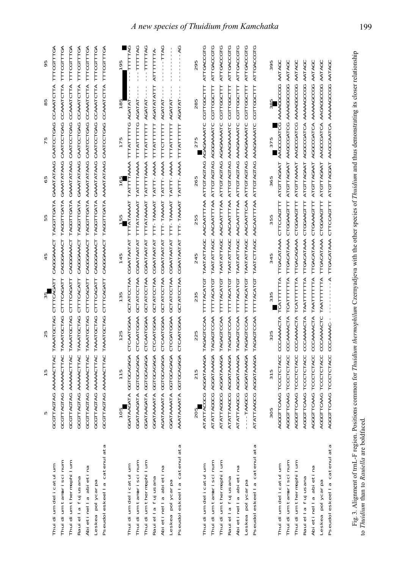|                            | S                        | 15                | LN<br>$\mathbf{\Omega}$ |                   | 45         | 55                | LN<br>$\circ$     | LN                    | S                        | 95                |
|----------------------------|--------------------------|-------------------|-------------------------|-------------------|------------|-------------------|-------------------|-----------------------|--------------------------|-------------------|
| Thuidium delicatulum       | TTAGTAG<br>せひひ           | AAAAACTTAC        | TAAATGCTAG              | CTTTCAGATT        | CAGGGAAACT | TAGGTTGATA        | GAAATATAAG        | CAATCCTGAG            | CCAAATCTTA               | TTTCGTTTGA        |
| Thuidium tamariscinum      | GCGTTAGTAG               | AAAAACTTAC        | TAAATGCTAG              | CTTTCAGATT        | CAGGGAAACT | TAGGTTGATA        | GAAATATAAG        | CAATCCTGAG            | CCAAATCTTA               | TTTCGTTTGA        |
| Thuidium thermophilum      | GCGTTAGTAG               | <b>AAAAACTTAC</b> | TAAATGCTAG              | CTTTCAGATT        | CAGGGAAACT | TAGGTTGATA        | GAAATATAAG        | CAATCCTGAG            | CCAAATCTTA               | TTTCGTTTGA        |
| Rauiella fujusana          | TTAGTAG<br>.<br>მე       | AAAAACTTAC        | TAAATGCTAG              | CTTTCACATT        | CAGGGAAACT | TAGGTTGATA        | GAAATATAAG        | CAATCCTGAG            | CCAAATCTTA               | TTTCGTTTGA        |
| Abietinella abietina       | GCGTTAGTAG               | <b>AAAAACTTAC</b> | TAAATGCTAG              | CTTTCAGATT        | CAGGGAAACT | TAGGTTGATA        | <b>AAAATATAAG</b> | CAATCCTGAG            | CCAAATCTTA               | TTTCGTTTGA        |
| Leskea polycarpa           | GCGTTAGTAG               | AAAAACTTAC        | TAAATGCTAG              | CTTTCAGATT        | CAGGGAAACT | TAGGTTGATA        | GAAATATAAG        | CAATCCTGAG            | CCAAATCTTA               | TTTCGTTTGA        |
| Pseudoleskeella catenulata | GCGTTAGTAG               | AAAAACTTAC        | TAAATGCTAG              | CTTTCAGATT        | CAGGGAAACT | TAGGTTGATA        | <b>AAAATATAAG</b> | CAATCCTGAG            | CCAAATCTTA               | TTTCGTTTGA        |
|                            | 105                      | 115               | 125                     | 135               | 145        | 155               | 165               | 175                   | 185                      | 195               |
| Thuidium delicatulum       | GGATAAGATA               | GGTGCAGAGA        | CTCAATGGAA              | GCTATCCTAA        | CGAATAATAT | TTTATAAAAT        | TATTTTAAAA        | TTTATTTTTG            | AGATAT                   | <b>PATTTTT-BG</b> |
| Thuidium tamariscinum      | GGATAAGATA               | GGTGCAGAGA        | CTCAATGGAA              | <b>GCTATCCTAA</b> | CGAATAATAT | TTTATAAAAT        | TATTTTAAAA        | TTTATTTTTG            | AGATAT                   | -TTTTTTAG         |
| Thuidium thermophilum      | GGATAAGATA               | GGTGCAGAGA        | CTCAATGGAA              | GCTATCCTAA        | CGAATAATAT | TTTATAAAT         | TATTTTAAAA        | TTTATTTTTT            | AGATAT-                  | $-$ -TTTTTRG      |
| Rauiella fujusana          | GGATAAAATA               | GGTGCAGAGA        | CTCAATGGAA              | GCTATCCTAA        | CGAATAATAT | TTT-TAAAAT        | TATTT-AAAA        | TTTATTTTTT            | AGATATATTT               | ATTTTTTTA         |
| Abietinella abietina       | AGATAAAATA               | GGTGCAGAGA        | CTCAATGGAA              | GCTATCCTAA        | CGAATAATAT | TTT-TAAAAT        | TATTT-AAAA        | TTTCTTTTTTTT          | AGATAT-                  | TTAG              |
| Leskea polycarpa           | GGATAAAATA               | GGTGCAGAGA        | <b>CTCGATGGAA</b>       | GCTATCCTAA        | CGAATAATAT | TTT-TAAAAT        | TATTT-AAAA        | TTTATTTTTT            | AGATAT-                  |                   |
| Pseudoleskeella catenulata | TAAAATA<br>AAA.          | GGTGCAGAGA        | CTCAATGGAA              | GCTATCCTAA        | CGAATAATAT | TTT-TAAAAT        | TATTT-AAAA        | TTTATTTTTT            | $\frac{1}{1}$<br>AGATAT- | $---AG$<br>J,     |
|                            | 205                      | 215               | 225                     | 235               | 245        | 255               | 265               | 275                   | 285                      | 295               |
| Thuidium delicatulum       | <b>TTACGCG</b><br>ATA.   | AGGATAAAGA        | TAGAGTCCAA              | TTTTACATGT        | TAATATTAGC | <b>AACAATTTAA</b> | ATTGTAGTAG        | AGAGAAAATC            | CGTTGGCTTT               | ATTGACCGTG        |
| Thuidium tamariscinum      | ATATTAGGCG               | AGGATAAAGA        | TAGAGTCCAA              | TTTTACATGT        | TAATATTAGC | <b>AACAATTTAA</b> | <b>ATTGTAGTAG</b> | AGGGAAATC             | CGTTGGCTTT               | ATTGACCGTG        |
| Thuidium thermophilum      | ATATTAGGCG               | AGGATAAAGA        | TAGAGTCCAA              | <b>TTTTACATGT</b> | TAATATTAGC | <b>AACAATTTAA</b> | <b>ATTGTAGTAG</b> | AGAGAAAATC            | CGTTGGCTTT               | ATTGACCGTG        |
| Rauiella fujusana          | ATATTAAGCG               | <b>AGGATAAAGA</b> | TAGAGTCCAA              | TTTTACATGT        | TAATATTAGC | <b>AACAATTTAA</b> | <b>ATTGTAGTAG</b> | <b>AAAGAAAATC</b>     | CGTTGGCTTT               | ATTGACCGTG        |
| Abietinella abietina       | ATATTAAGCG               | AGGATAAAGA        | TAGAGTCCAA              | TTTTACATGT        | TAATATTAGC | <b>AACAATTTAA</b> | <b>ATTGTAGTAG</b> | <b>AAAGAAAATC</b>     | CGTTGGCTTT               | ATTGACCGTG        |
| Leskea polycarpa           | -TAAGCG<br>$\frac{1}{1}$ | AGGATAAAGA        | TAGAGTCCAA              | TTTTACATGT        | TAATATTAGC | <b>AACAATTCAA</b> | <b>ATTGTAGTAG</b> | <b>AAAGAAAATC</b>     | CGTTGGCTTT               | ATTGACCGTG        |
| Pseudoleskeella catenulata | ATATTAAGCG               | AGGATAAAGA        | TAGAGTCCAA              | TTTTACATGT        | TAATCTTAGC | AACAATTTAA        | <b>ATTGTAGTAG</b> | AAAGAAAATC            | CGTTGGCTTT               | ATTGACCGTG        |
|                            | 305                      | 315               | 325                     | 335               | 345        | 355               | 365               | 375                   | 385                      | 395               |
| Thuidium delicatulum       | AGGGTTCAAG               | TCCCTCTACC        | CCCAAAACTA              | TCATTTTTTA        | TTGACATAAA | CTTCCAGTTT        | ATGTTAGAAT        | <b>AAGCCGATCG</b>     | AAAAGGCCGG               | AATAGC            |
| Thuidium tamariscinum      | AGGGTTCAAG               | TCCCTCTACC        | CCCAAAACTA              | TCATTTTTTA        | TTGACATAAA | CTGGAAGTTT        | <b>ATGTTAGAAT</b> | <b>AAGCCGATCG</b>     | <b>AAAAGGCCGG</b>        | AATAGC            |
| Thuidium thermophilum      | AGGGTTCAAG               | TCCCTCTACC        | CCCAAAACTA              | TCATTTTTTA        | TTGACAGAAA | CTGGAAGTTT        | <b>ATGTTAAAAT</b> | <b>AAGCCGATCG</b>     | <b>AAAAGCCGG</b>         | AATAGC            |
| Rauiella fujusana          | AGGGTTCAAG               | TCCCTCTACC        | CCCAAAACTA              | TAATTTTTTA        | TTGACATAAA | CTGGAAGTTT        | ATGTTAGAAT        | <b>AGGCCGATCA</b>     | <b>AAAAAGCGG</b>         | AATAGC            |
| Abietinella abietina       | AGGGTTCAAG               | TCCCTCTACC        | CCCAAAACTA              | TAATTTTTTTA       | TTGACATAAA | CTGAAAGTTT        | <b>ATGTTAGAAT</b> | <b>AGGCCGATCA</b>     | <b>AAAAAGCCGG</b>        | AATAGC            |
| Leskea polycarpa           | AGGGTTCAAG               | TCCCTCTACC        | CCCAAAACTC              | TAATTTTTTTA       | TTGACATAAA | CTGGAAGTTT        | <b>ATGTTAGAAT</b> | AAGCCGATCA            | AAGAGCCGG                | AATAGC            |
| Pseudoleskeella catenulata | AGGGTTCAAG               | <b>TCCCTCTACC</b> | CCCAAAAC-               | $-4$              | TTGACATAAA | CTTCCAGTTT        | <b>ATGTTAGGAT</b> | AAGCCAATCA AAAAAGCCGG |                          | AATAGC            |
|                            |                          |                   |                         |                   |            |                   |                   |                       |                          |                   |

Fig. 3. Alignment of trnL-F region. Positions common for Thuidium thermophilum Czernyadjeva with the other species of Thuidium and thus demonstrating its closer relationship Fig. 3. Alignment of trnL-F region. Positions common for Thuidium thermophilum Czernyadjeva with the other species of Thuidium and thus demonstrating its closer relationship to Thuidium than to Rauiella are boldfaced. to Thuidium than to Rauiella are boldfaced.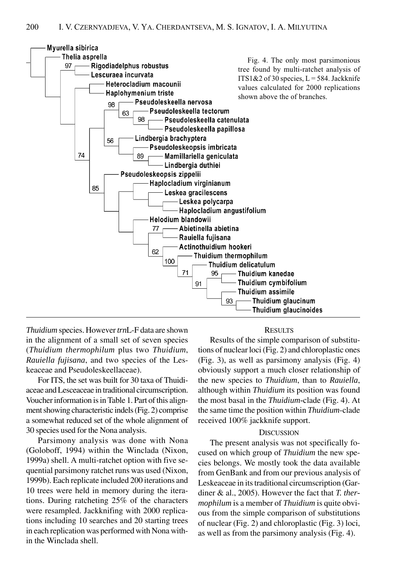

*Thuidium* species. However *trn*L-F data are shown in the alignment of a small set of seven species (*Thuidium thermophilum* plus two *Thuidium*, *Rauiella fujisana*, and two species of the Leskeaceae and Pseudoleskeellaceae).

For ITS, the set was built for 30 taxa of Thuidiaceae and Lesceaceae in traditional circumscription. Voucher information is in Table 1. Part of this alignment showing characteristic indels (Fig. 2) comprise a somewhat reduced set of the whole alignment of 30 species used for the Nona analysis.

Parsimony analysis was done with Nona (Goloboff, 1994) within the Winclada (Nixon, 1999a) shell. A multi-ratchet option with five sequential parsimony ratchet runs was used (Nixon, 1999b). Each replicate included 200 iterations and 10 trees were held in memory during the iterations. During ratcheting 25% of the characters were resampled. Jackknifing with 2000 replications including 10 searches and 20 starting trees in each replication was performed with Nona within the Winclada shell.

### **RESULTS**

Results of the simple comparison of substitutions of nuclear loci (Fig. 2) and chloroplastic ones (Fig. 3), as well as parsimony analysis (Fig. 4) obviously support a much closer relationship of the new species to *Thuidium*, than to *Rauiella*, although within *Thuidium* its position was found the most basal in the *Thuidium-*clade (Fig. 4). At the same time the position within *Thuidium*-clade received 100% jackknife support.

# **DISCUSSION**

The present analysis was not specifically focused on which group of *Thuidium* the new species belongs. We mostly took the data available from GenBank and from our previous analysis of Leskeaceae in its traditional circumscription (Gardiner & al., 2005). However the fact that *T. thermophilum* is a member of *Thuidium* is quite obvious from the simple comparison of substitutions of nuclear (Fig. 2) and chloroplastic (Fig. 3) loci, as well as from the parsimony analysis (Fig. 4).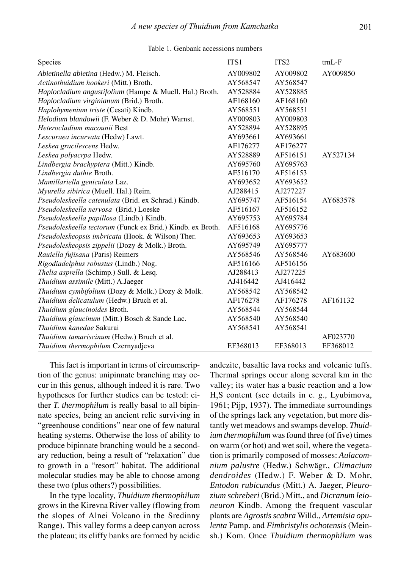# Table 1. Genbank accessions numbers

| Species                                                    | ITS <sub>1</sub> | ITS <sub>2</sub> | $trnL-F$ |
|------------------------------------------------------------|------------------|------------------|----------|
| Abietinella abietina (Hedw.) M. Fleisch.                   | AY009802         | AY009802         | AY009850 |
| Actinothuidium hookeri (Mitt.) Broth.                      | AY568547         | AY568547         |          |
| Haplocladium angustifolium (Hampe & Muell. Hal.) Broth.    | AY528884         | AY528885         |          |
| Haplocladium virginianum (Brid.) Broth.                    | AF168160         | AF168160         |          |
| Haplohymenium triste (Cesati) Kindb.                       | AY568551         | AY568551         |          |
| Helodium blandowii (F. Weber & D. Mohr) Warnst.            | AY009803         | AY009803         |          |
| Heterocladium macounii Best                                | AY528894         | AY528895         |          |
| Lescuraea incurvata (Hedw) Lawt.                           | AY693661         | AY693661         |          |
| Leskea gracilescens Hedw.                                  | AF176277         | AF176277         |          |
| Leskea polyacrpa Hedw.                                     | AY528889         | AF516151         | AY527134 |
| Lindbergia brachyptera (Mitt.) Kindb.                      | AY695760         | AY695763         |          |
| Lindbergia duthie Broth.                                   | AF516170         | AF516153         |          |
| Mamillariella geniculata Laz.                              | AY693652         | AY693652         |          |
| Myurella sibirica (Muell. Hal.) Reim.                      | AJ288415         | AJ277227         |          |
| Pseudoleskeella catenulata (Brid. ex Schrad.) Kindb.       | AY695747         | AF516154         | AY683578 |
| Pseudoleskeella nervosa (Brid.) Loeske                     | AF516167         | AF516152         |          |
| Pseudoleskeella papillosa (Lindb.) Kindb.                  | AY695753         | AY695784         |          |
| Pseudoleskeella tectorum (Funck ex Brid.) Kindb. ex Broth. | AF516168         | AY695776         |          |
| Pseudoleskeopsis imbricata (Hook. & Wilson) Ther.          | AY693653         | AY693653         |          |
| Pseudoleskeopsis zippelii (Dozy & Molk.) Broth.            | AY695749         | AY695777         |          |
| Rauiella fujisana (Paris) Reimers                          | AY568546         | AY568546         | AY683600 |
| Rigodiadelphus robustus (Lindb.) Nog.                      | AF516166         | AF516156         |          |
| Thelia asprella (Schimp.) Sull. & Lesq.                    | AJ288413         | AJ277225         |          |
| Thuidium assimile (Mitt.) A.Jaeger                         | AJ416442         | AJ416442         |          |
| Thuidium cymbifolium (Dozy & Molk.) Dozy & Molk.           | AY568542         | AY568542         |          |
| Thuidium delicatulum (Hedw.) Bruch et al.                  | AF176278         | AF176278         | AF161132 |
| Thuidium glaucinoides Broth.                               | AY568544         | AY568544         |          |
| Thuidium glaucinum (Mitt.) Bosch & Sande Lac.              | AY568540         | AY568540         |          |
| Thuidium kanedae Sakurai                                   | AY568541         | AY568541         |          |
| Thuidium tamariscinum (Hedw.) Bruch et al.                 |                  |                  | AF023770 |
| Thuidium thermophilum Czernyadjeva                         | EF368013         | EF368013         | EF368012 |

This fact is important in terms of circumscription of the genus: unipinnate branching may occur in this genus, although indeed it is rare. Two hypotheses for further studies can be tested: either *T. thermophilum* is really basal to all bipinnate species, being an ancient relic surviving in "greenhouse conditions" near one of few natural heating systems. Otherwise the loss of ability to produce bipinnate branching would be a secondary reduction, being a result of "relaxation" due to growth in a "resort" habitat. The additional molecular studies may be able to choose among these two (plus others?) possibilities.

In the type locality, *Thuidium thermophilum* grows in the Kirevna River valley (flowing from the slopes of Alnei Volcano in the Sredinny Range). This valley forms a deep canyon across the plateau; its cliffy banks are formed by acidic andezite, basaltic lava rocks and volcanic tuffs. Thermal springs occur along several km in the valley; its water has a basic reaction and a low  $H<sub>2</sub>S$  content (see details in e. g., Lyubimova, 1961; Pijp, 1937). The immediate surroundings of the springs lack any vegetation, but more distantly wet meadows and swamps develop. *Thuidium thermophilum* was found three (of five) times on warm (or hot) and wet soil, where the vegetation is primarily composed of mosses: *Aulacomnium palustre* (Hedw.) Schwägr., *Climacium dendroides* (Hedw.) F. Weber & D. Mohr, *Entodon rubicundus* (Mitt.) A. Jaeger, *Pleurozium schreberi* (Brid.) Mitt., and *Dicranum leioneuron* Kindb. Among the frequent vascular plants are *Agrostis scabra* Willd., *Artemisia opulenta* Pamp. and *Fimbristylis ochotensis* (Meinsh.) Kom. Once *Thuidium thermophilum* was